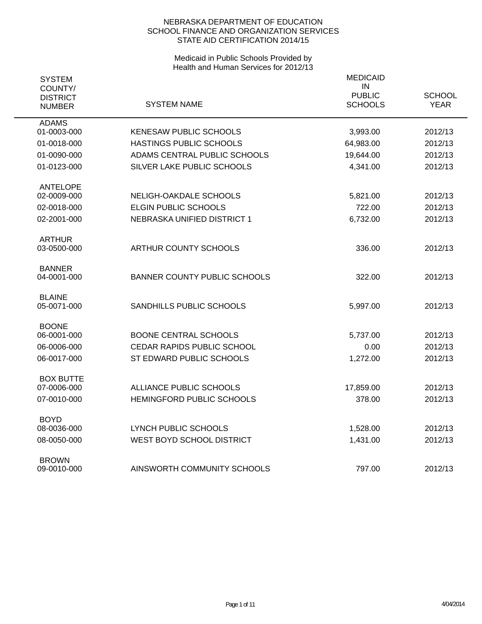| <b>SYSTEM</b><br>COUNTY/<br><b>DISTRICT</b><br><b>NUMBER</b> | SYSTEM NAME                         | <b>MEDICAID</b><br>IN<br><b>PUBLIC</b><br><b>SCHOOLS</b> | <b>SCHOOL</b><br><b>YEAR</b> |
|--------------------------------------------------------------|-------------------------------------|----------------------------------------------------------|------------------------------|
| <b>ADAMS</b><br>01-0003-000                                  | <b>KENESAW PUBLIC SCHOOLS</b>       |                                                          |                              |
|                                                              |                                     | 3,993.00                                                 | 2012/13                      |
| 01-0018-000                                                  | HASTINGS PUBLIC SCHOOLS             | 64,983.00                                                | 2012/13                      |
| 01-0090-000                                                  | ADAMS CENTRAL PUBLIC SCHOOLS        | 19,644.00                                                | 2012/13                      |
| 01-0123-000                                                  | SILVER LAKE PUBLIC SCHOOLS          | 4,341.00                                                 | 2012/13                      |
| <b>ANTELOPE</b>                                              |                                     |                                                          |                              |
| 02-0009-000                                                  | NELIGH-OAKDALE SCHOOLS              | 5,821.00                                                 | 2012/13                      |
| 02-0018-000                                                  | <b>ELGIN PUBLIC SCHOOLS</b>         | 722.00                                                   | 2012/13                      |
| 02-2001-000                                                  | NEBRASKA UNIFIED DISTRICT 1         | 6,732.00                                                 | 2012/13                      |
| <b>ARTHUR</b><br>03-0500-000                                 | ARTHUR COUNTY SCHOOLS               | 336.00                                                   | 2012/13                      |
| <b>BANNER</b><br>04-0001-000                                 | <b>BANNER COUNTY PUBLIC SCHOOLS</b> | 322.00                                                   | 2012/13                      |
| <b>BLAINE</b><br>05-0071-000                                 | SANDHILLS PUBLIC SCHOOLS            | 5,997.00                                                 | 2012/13                      |
| <b>BOONE</b><br>06-0001-000                                  | <b>BOONE CENTRAL SCHOOLS</b>        | 5,737.00                                                 | 2012/13                      |
| 06-0006-000                                                  | CEDAR RAPIDS PUBLIC SCHOOL          | 0.00                                                     | 2012/13                      |
| 06-0017-000                                                  | ST EDWARD PUBLIC SCHOOLS            | 1,272.00                                                 | 2012/13                      |
| <b>BOX BUTTE</b>                                             |                                     |                                                          |                              |
| 07-0006-000                                                  | ALLIANCE PUBLIC SCHOOLS             | 17,859.00                                                | 2012/13                      |
| 07-0010-000                                                  | HEMINGFORD PUBLIC SCHOOLS           | 378.00                                                   | 2012/13                      |
| <b>BOYD</b>                                                  |                                     |                                                          |                              |
| 08-0036-000                                                  | <b>LYNCH PUBLIC SCHOOLS</b>         | 1,528.00                                                 | 2012/13                      |
| 08-0050-000                                                  | WEST BOYD SCHOOL DISTRICT           | 1,431.00                                                 | 2012/13                      |
| <b>BROWN</b><br>09-0010-000                                  | AINSWORTH COMMUNITY SCHOOLS         | 797.00                                                   | 2012/13                      |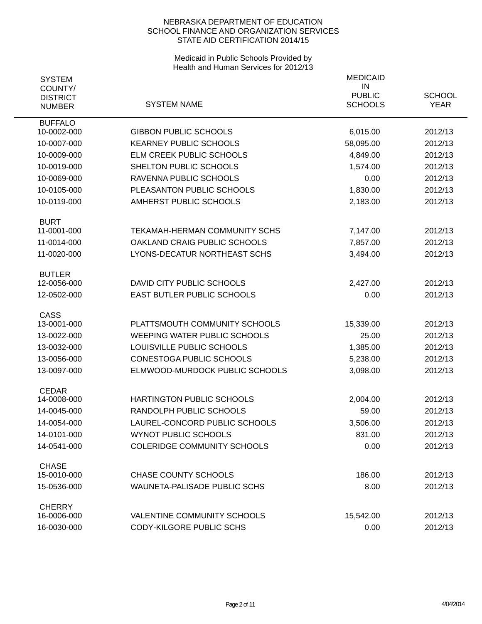| <b>SYSTEM</b>                               |                                     | <b>MEDICAID</b><br>IN           |                              |
|---------------------------------------------|-------------------------------------|---------------------------------|------------------------------|
| COUNTY/<br><b>DISTRICT</b><br><b>NUMBER</b> | <b>SYSTEM NAME</b>                  | <b>PUBLIC</b><br><b>SCHOOLS</b> | <b>SCHOOL</b><br><b>YEAR</b> |
| <b>BUFFALO</b><br>10-0002-000               | <b>GIBBON PUBLIC SCHOOLS</b>        | 6,015.00                        | 2012/13                      |
| 10-0007-000                                 | <b>KEARNEY PUBLIC SCHOOLS</b>       | 58,095.00                       | 2012/13                      |
| 10-0009-000                                 | ELM CREEK PUBLIC SCHOOLS            | 4,849.00                        | 2012/13                      |
| 10-0019-000                                 | SHELTON PUBLIC SCHOOLS              | 1,574.00                        | 2012/13                      |
| 10-0069-000                                 | RAVENNA PUBLIC SCHOOLS              | 0.00                            | 2012/13                      |
| 10-0105-000                                 | PLEASANTON PUBLIC SCHOOLS           | 1,830.00                        | 2012/13                      |
| 10-0119-000                                 | AMHERST PUBLIC SCHOOLS              | 2,183.00                        | 2012/13                      |
| <b>BURT</b>                                 |                                     |                                 |                              |
| 11-0001-000                                 | TEKAMAH-HERMAN COMMUNITY SCHS       | 7,147.00                        | 2012/13                      |
| 11-0014-000                                 | OAKLAND CRAIG PUBLIC SCHOOLS        | 7,857.00                        | 2012/13                      |
| 11-0020-000                                 | LYONS-DECATUR NORTHEAST SCHS        | 3,494.00                        | 2012/13                      |
| <b>BUTLER</b><br>12-0056-000                | DAVID CITY PUBLIC SCHOOLS           | 2,427.00                        | 2012/13                      |
| 12-0502-000                                 | EAST BUTLER PUBLIC SCHOOLS          | 0.00                            | 2012/13                      |
| <b>CASS</b>                                 |                                     |                                 |                              |
| 13-0001-000                                 | PLATTSMOUTH COMMUNITY SCHOOLS       | 15,339.00                       | 2012/13                      |
| 13-0022-000                                 | <b>WEEPING WATER PUBLIC SCHOOLS</b> | 25.00                           | 2012/13                      |
| 13-0032-000                                 | LOUISVILLE PUBLIC SCHOOLS           | 1,385.00                        | 2012/13                      |
| 13-0056-000                                 | CONESTOGA PUBLIC SCHOOLS            | 5,238.00                        | 2012/13                      |
| 13-0097-000                                 | ELMWOOD-MURDOCK PUBLIC SCHOOLS      | 3,098.00                        | 2012/13                      |
| <b>CEDAR</b><br>14-0008-000                 | <b>HARTINGTON PUBLIC SCHOOLS</b>    | 2,004.00                        | 2012/13                      |
| 14-0045-000                                 | RANDOLPH PUBLIC SCHOOLS             | 59.00                           | 2012/13                      |
| 14-0054-000                                 | LAUREL-CONCORD PUBLIC SCHOOLS       | 3,506.00                        | 2012/13                      |
| 14-0101-000                                 | <b>WYNOT PUBLIC SCHOOLS</b>         | 831.00                          | 2012/13                      |
| 14-0541-000                                 | <b>COLERIDGE COMMUNITY SCHOOLS</b>  | 0.00                            | 2012/13                      |
| <b>CHASE</b>                                |                                     |                                 |                              |
| 15-0010-000                                 | <b>CHASE COUNTY SCHOOLS</b>         | 186.00                          | 2012/13                      |
| 15-0536-000                                 | <b>WAUNETA-PALISADE PUBLIC SCHS</b> | 8.00                            | 2012/13                      |
| <b>CHERRY</b>                               |                                     |                                 |                              |
| 16-0006-000                                 | VALENTINE COMMUNITY SCHOOLS         | 15,542.00                       | 2012/13                      |
| 16-0030-000                                 | CODY-KILGORE PUBLIC SCHS            | 0.00                            | 2012/13                      |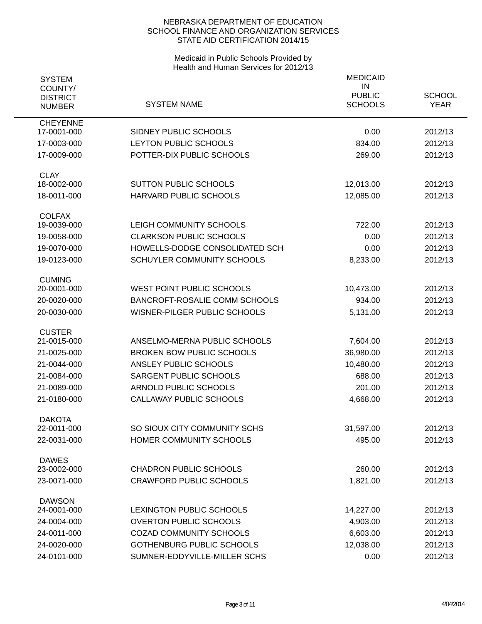| <b>SYSTEM</b>                    |                                      | <b>MEDICAID</b>     |               |
|----------------------------------|--------------------------------------|---------------------|---------------|
| COUNTY/                          |                                      | IN<br><b>PUBLIC</b> | <b>SCHOOL</b> |
| <b>DISTRICT</b><br><b>NUMBER</b> | <b>SYSTEM NAME</b>                   | <b>SCHOOLS</b>      | <b>YEAR</b>   |
|                                  |                                      |                     |               |
| <b>CHEYENNE</b><br>17-0001-000   | SIDNEY PUBLIC SCHOOLS                | 0.00                | 2012/13       |
| 17-0003-000                      | LEYTON PUBLIC SCHOOLS                | 834.00              | 2012/13       |
| 17-0009-000                      | POTTER-DIX PUBLIC SCHOOLS            | 269.00              | 2012/13       |
| <b>CLAY</b><br>18-0002-000       | SUTTON PUBLIC SCHOOLS                |                     |               |
|                                  |                                      | 12,013.00           | 2012/13       |
| 18-0011-000                      | HARVARD PUBLIC SCHOOLS               | 12,085.00           | 2012/13       |
| <b>COLFAX</b><br>19-0039-000     | LEIGH COMMUNITY SCHOOLS              | 722.00              | 2012/13       |
| 19-0058-000                      | <b>CLARKSON PUBLIC SCHOOLS</b>       | 0.00                | 2012/13       |
| 19-0070-000                      | HOWELLS-DODGE CONSOLIDATED SCH       | 0.00                | 2012/13       |
| 19-0123-000                      | SCHUYLER COMMUNITY SCHOOLS           | 8,233.00            | 2012/13       |
|                                  |                                      |                     |               |
| <b>CUMING</b>                    |                                      |                     |               |
| 20-0001-000                      | WEST POINT PUBLIC SCHOOLS            | 10,473.00           | 2012/13       |
| 20-0020-000                      | <b>BANCROFT-ROSALIE COMM SCHOOLS</b> | 934.00              | 2012/13       |
| 20-0030-000                      | WISNER-PILGER PUBLIC SCHOOLS         | 5,131.00            | 2012/13       |
| <b>CUSTER</b>                    |                                      |                     |               |
| 21-0015-000                      | ANSELMO-MERNA PUBLIC SCHOOLS         | 7,604.00            | 2012/13       |
| 21-0025-000                      | <b>BROKEN BOW PUBLIC SCHOOLS</b>     | 36,980.00           | 2012/13       |
| 21-0044-000                      | ANSLEY PUBLIC SCHOOLS                | 10,480.00           | 2012/13       |
| 21-0084-000                      | SARGENT PUBLIC SCHOOLS               | 688.00              | 2012/13       |
| 21-0089-000                      | ARNOLD PUBLIC SCHOOLS                | 201.00              | 2012/13       |
| 21-0180-000                      | CALLAWAY PUBLIC SCHOOLS              | 4,668.00            | 2012/13       |
| <b>DAKOTA</b>                    |                                      |                     |               |
| 22-0011-000                      | SO SIOUX CITY COMMUNITY SCHS         | 31,597.00           | 2012/13       |
| 22-0031-000                      | HOMER COMMUNITY SCHOOLS              | 495.00              | 2012/13       |
| <b>DAWES</b>                     |                                      |                     |               |
| 23-0002-000                      | <b>CHADRON PUBLIC SCHOOLS</b>        | 260.00              | 2012/13       |
| 23-0071-000                      | <b>CRAWFORD PUBLIC SCHOOLS</b>       | 1,821.00            | 2012/13       |
| <b>DAWSON</b>                    |                                      |                     |               |
| 24-0001-000                      | LEXINGTON PUBLIC SCHOOLS             | 14,227.00           | 2012/13       |
| 24-0004-000                      | <b>OVERTON PUBLIC SCHOOLS</b>        | 4,903.00            | 2012/13       |
| 24-0011-000                      | <b>COZAD COMMUNITY SCHOOLS</b>       | 6,603.00            | 2012/13       |
| 24-0020-000                      | GOTHENBURG PUBLIC SCHOOLS            | 12,038.00           | 2012/13       |
| 24-0101-000                      | SUMNER-EDDYVILLE-MILLER SCHS         | 0.00                | 2012/13       |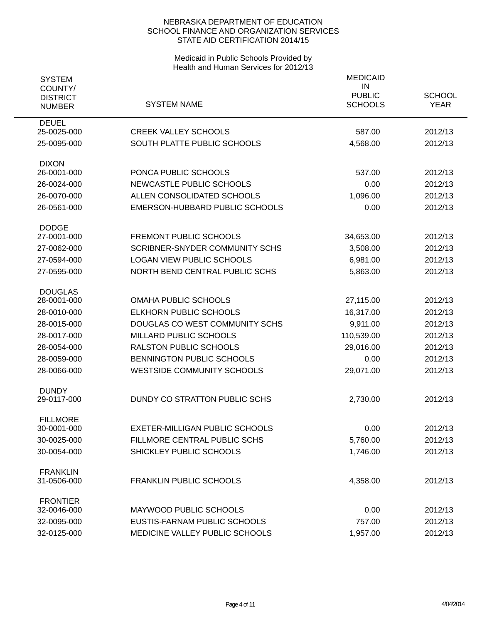| <b>SYSTEM</b>                               |                                                         | <b>MEDICAID</b><br>IN           |                              |
|---------------------------------------------|---------------------------------------------------------|---------------------------------|------------------------------|
| COUNTY/<br><b>DISTRICT</b><br><b>NUMBER</b> | <b>SYSTEM NAME</b>                                      | <b>PUBLIC</b><br><b>SCHOOLS</b> | <b>SCHOOL</b><br><b>YEAR</b> |
| <b>DEUEL</b>                                |                                                         |                                 |                              |
| 25-0025-000                                 | <b>CREEK VALLEY SCHOOLS</b>                             | 587.00                          | 2012/13                      |
| 25-0095-000                                 | SOUTH PLATTE PUBLIC SCHOOLS                             | 4,568.00                        | 2012/13                      |
| <b>DIXON</b>                                |                                                         |                                 |                              |
| 26-0001-000                                 | PONCA PUBLIC SCHOOLS<br><b>NEWCASTLE PUBLIC SCHOOLS</b> | 537.00                          | 2012/13                      |
| 26-0024-000                                 |                                                         | 0.00                            | 2012/13                      |
| 26-0070-000                                 | ALLEN CONSOLIDATED SCHOOLS                              | 1,096.00                        | 2012/13                      |
| 26-0561-000                                 | <b>EMERSON-HUBBARD PUBLIC SCHOOLS</b>                   | 0.00                            | 2012/13                      |
| <b>DODGE</b><br>27-0001-000                 | <b>FREMONT PUBLIC SCHOOLS</b>                           | 34,653.00                       | 2012/13                      |
| 27-0062-000                                 | <b>SCRIBNER-SNYDER COMMUNITY SCHS</b>                   | 3,508.00                        | 2012/13                      |
|                                             | <b>LOGAN VIEW PUBLIC SCHOOLS</b>                        |                                 |                              |
| 27-0594-000                                 |                                                         | 6,981.00                        | 2012/13                      |
| 27-0595-000                                 | NORTH BEND CENTRAL PUBLIC SCHS                          | 5,863.00                        | 2012/13                      |
| <b>DOUGLAS</b><br>28-0001-000               | <b>OMAHA PUBLIC SCHOOLS</b>                             | 27,115.00                       | 2012/13                      |
| 28-0010-000                                 | ELKHORN PUBLIC SCHOOLS                                  | 16,317.00                       | 2012/13                      |
| 28-0015-000                                 | DOUGLAS CO WEST COMMUNITY SCHS                          | 9,911.00                        | 2012/13                      |
| 28-0017-000                                 | MILLARD PUBLIC SCHOOLS                                  | 110,539.00                      | 2012/13                      |
| 28-0054-000                                 | RALSTON PUBLIC SCHOOLS                                  | 29,016.00                       | 2012/13                      |
| 28-0059-000                                 | BENNINGTON PUBLIC SCHOOLS                               | 0.00                            | 2012/13                      |
| 28-0066-000                                 | <b>WESTSIDE COMMUNITY SCHOOLS</b>                       | 29,071.00                       | 2012/13                      |
|                                             |                                                         |                                 |                              |
| <b>DUNDY</b><br>29-0117-000                 | DUNDY CO STRATTON PUBLIC SCHS                           |                                 | 2012/13                      |
|                                             |                                                         | 2,730.00                        |                              |
| <b>FILLMORE</b><br>30-0001-000              | <b>EXETER-MILLIGAN PUBLIC SCHOOLS</b>                   | 0.00                            | 2012/13                      |
| 30-0025-000                                 | FILLMORE CENTRAL PUBLIC SCHS                            | 5,760.00                        | 2012/13                      |
| 30-0054-000                                 | SHICKLEY PUBLIC SCHOOLS                                 | 1,746.00                        | 2012/13                      |
|                                             |                                                         |                                 |                              |
| <b>FRANKLIN</b><br>31-0506-000              | <b>FRANKLIN PUBLIC SCHOOLS</b>                          | 4,358.00                        | 2012/13                      |
| <b>FRONTIER</b>                             |                                                         |                                 |                              |
| 32-0046-000                                 | MAYWOOD PUBLIC SCHOOLS                                  | 0.00                            | 2012/13                      |
| 32-0095-000                                 | EUSTIS-FARNAM PUBLIC SCHOOLS                            | 757.00                          | 2012/13                      |
| 32-0125-000                                 | MEDICINE VALLEY PUBLIC SCHOOLS                          | 1,957.00                        | 2012/13                      |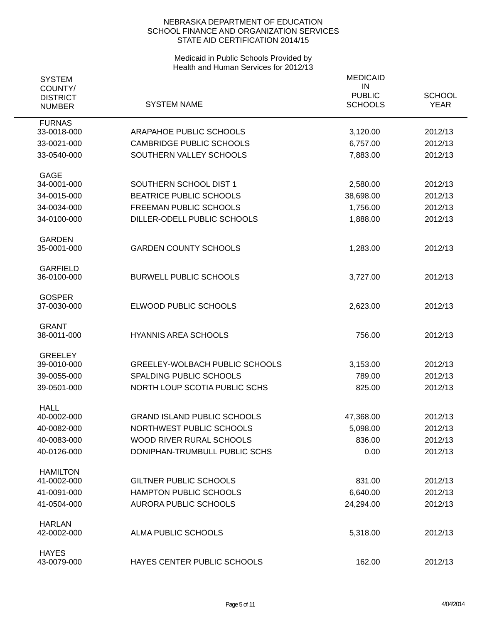| <b>SYSTEM</b><br>COUNTY/<br><b>DISTRICT</b><br><b>NUMBER</b> | <b>SYSTEM NAME</b>                    | <b>MEDICAID</b><br>IN<br><b>PUBLIC</b><br><b>SCHOOLS</b> | <b>SCHOOL</b><br><b>YEAR</b> |
|--------------------------------------------------------------|---------------------------------------|----------------------------------------------------------|------------------------------|
| <b>FURNAS</b>                                                |                                       |                                                          |                              |
| 33-0018-000                                                  | ARAPAHOE PUBLIC SCHOOLS               | 3,120.00                                                 | 2012/13                      |
| 33-0021-000                                                  | <b>CAMBRIDGE PUBLIC SCHOOLS</b>       | 6,757.00                                                 | 2012/13                      |
| 33-0540-000                                                  | SOUTHERN VALLEY SCHOOLS               | 7,883.00                                                 | 2012/13                      |
| <b>GAGE</b>                                                  |                                       |                                                          |                              |
| 34-0001-000                                                  | SOUTHERN SCHOOL DIST 1                | 2,580.00                                                 | 2012/13                      |
| 34-0015-000                                                  | BEATRICE PUBLIC SCHOOLS               | 38,698.00                                                | 2012/13                      |
| 34-0034-000                                                  | <b>FREEMAN PUBLIC SCHOOLS</b>         | 1,756.00                                                 | 2012/13                      |
| 34-0100-000                                                  | DILLER-ODELL PUBLIC SCHOOLS           | 1,888.00                                                 | 2012/13                      |
|                                                              |                                       |                                                          |                              |
| <b>GARDEN</b><br>35-0001-000                                 | <b>GARDEN COUNTY SCHOOLS</b>          | 1,283.00                                                 | 2012/13                      |
|                                                              |                                       |                                                          |                              |
| <b>GARFIELD</b>                                              | <b>BURWELL PUBLIC SCHOOLS</b>         |                                                          |                              |
| 36-0100-000                                                  |                                       | 3,727.00                                                 | 2012/13                      |
| <b>GOSPER</b>                                                |                                       |                                                          |                              |
| 37-0030-000                                                  | ELWOOD PUBLIC SCHOOLS                 | 2,623.00                                                 | 2012/13                      |
| <b>GRANT</b>                                                 |                                       |                                                          |                              |
| 38-0011-000                                                  | <b>HYANNIS AREA SCHOOLS</b>           | 756.00                                                   | 2012/13                      |
| <b>GREELEY</b>                                               |                                       |                                                          |                              |
| 39-0010-000                                                  | <b>GREELEY-WOLBACH PUBLIC SCHOOLS</b> | 3,153.00                                                 | 2012/13                      |
| 39-0055-000                                                  | SPALDING PUBLIC SCHOOLS               | 789.00                                                   | 2012/13                      |
| 39-0501-000                                                  | NORTH LOUP SCOTIA PUBLIC SCHS         | 825.00                                                   | 2012/13                      |
| <b>HALL</b>                                                  |                                       |                                                          |                              |
| 40-0002-000                                                  | <b>GRAND ISLAND PUBLIC SCHOOLS</b>    | 47,368.00                                                | 2012/13                      |
| 40-0082-000                                                  | NORTHWEST PUBLIC SCHOOLS              | 5,098.00                                                 | 2012/13                      |
| 40-0083-000                                                  | WOOD RIVER RURAL SCHOOLS              | 836.00                                                   | 2012/13                      |
| 40-0126-000                                                  | DONIPHAN-TRUMBULL PUBLIC SCHS         | 0.00                                                     | 2012/13                      |
|                                                              |                                       |                                                          |                              |
| <b>HAMILTON</b><br>41-0002-000                               | <b>GILTNER PUBLIC SCHOOLS</b>         | 831.00                                                   | 2012/13                      |
| 41-0091-000                                                  | <b>HAMPTON PUBLIC SCHOOLS</b>         | 6,640.00                                                 | 2012/13                      |
| 41-0504-000                                                  | <b>AURORA PUBLIC SCHOOLS</b>          | 24,294.00                                                | 2012/13                      |
|                                                              |                                       |                                                          |                              |
| <b>HARLAN</b><br>42-0002-000                                 | ALMA PUBLIC SCHOOLS                   | 5,318.00                                                 | 2012/13                      |
|                                                              |                                       |                                                          |                              |
| <b>HAYES</b>                                                 |                                       |                                                          |                              |
| 43-0079-000                                                  | HAYES CENTER PUBLIC SCHOOLS           | 162.00                                                   | 2012/13                      |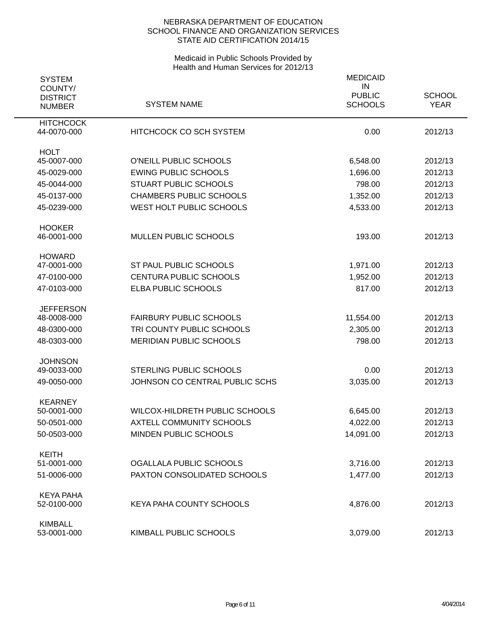| <b>SYSTEM</b>                               |                                 | <b>MEDICAID</b><br>IN           |                              |
|---------------------------------------------|---------------------------------|---------------------------------|------------------------------|
| COUNTY/<br><b>DISTRICT</b><br><b>NUMBER</b> | <b>SYSTEM NAME</b>              | <b>PUBLIC</b><br><b>SCHOOLS</b> | <b>SCHOOL</b><br><b>YEAR</b> |
| <b>HITCHCOCK</b><br>44-0070-000             | HITCHCOCK CO SCH SYSTEM         | 0.00                            | 2012/13                      |
| <b>HOLT</b><br>45-0007-000                  | O'NEILL PUBLIC SCHOOLS          | 6,548.00                        | 2012/13                      |
| 45-0029-000                                 | <b>EWING PUBLIC SCHOOLS</b>     | 1,696.00                        | 2012/13                      |
| 45-0044-000                                 | <b>STUART PUBLIC SCHOOLS</b>    | 798.00                          | 2012/13                      |
| 45-0137-000                                 | <b>CHAMBERS PUBLIC SCHOOLS</b>  | 1,352.00                        | 2012/13                      |
| 45-0239-000                                 | WEST HOLT PUBLIC SCHOOLS        | 4,533.00                        | 2012/13                      |
| <b>HOOKER</b><br>46-0001-000                | <b>MULLEN PUBLIC SCHOOLS</b>    | 193.00                          | 2012/13                      |
| <b>HOWARD</b>                               |                                 |                                 |                              |
| 47-0001-000                                 | ST PAUL PUBLIC SCHOOLS          | 1,971.00                        | 2012/13                      |
| 47-0100-000                                 | <b>CENTURA PUBLIC SCHOOLS</b>   | 1,952.00                        | 2012/13                      |
| 47-0103-000                                 | ELBA PUBLIC SCHOOLS             | 817.00                          | 2012/13                      |
| <b>JEFFERSON</b><br>48-0008-000             | <b>FAIRBURY PUBLIC SCHOOLS</b>  | 11,554.00                       | 2012/13                      |
| 48-0300-000                                 | TRI COUNTY PUBLIC SCHOOLS       | 2,305.00                        | 2012/13                      |
| 48-0303-000                                 | <b>MERIDIAN PUBLIC SCHOOLS</b>  | 798.00                          | 2012/13                      |
| <b>JOHNSON</b>                              |                                 |                                 |                              |
| 49-0033-000                                 | <b>STERLING PUBLIC SCHOOLS</b>  | 0.00                            | 2012/13                      |
| 49-0050-000                                 | JOHNSON CO CENTRAL PUBLIC SCHS  | 3,035.00                        | 2012/13                      |
| <b>KEARNEY</b><br>50-0001-000               | WILCOX-HILDRETH PUBLIC SCHOOLS  | 6,645.00                        | 2012/13                      |
| 50-0501-000                                 | <b>AXTELL COMMUNITY SCHOOLS</b> | 4,022.00                        | 2012/13                      |
| 50-0503-000                                 | MINDEN PUBLIC SCHOOLS           | 14,091.00                       | 2012/13                      |
| <b>KEITH</b><br>51-0001-000                 | OGALLALA PUBLIC SCHOOLS         | 3,716.00                        | 2012/13                      |
|                                             | PAXTON CONSOLIDATED SCHOOLS     |                                 | 2012/13                      |
| 51-0006-000                                 |                                 | 1,477.00                        |                              |
| <b>KEYA PAHA</b><br>52-0100-000             | KEYA PAHA COUNTY SCHOOLS        | 4,876.00                        | 2012/13                      |
| <b>KIMBALL</b><br>53-0001-000               | KIMBALL PUBLIC SCHOOLS          | 3,079.00                        | 2012/13                      |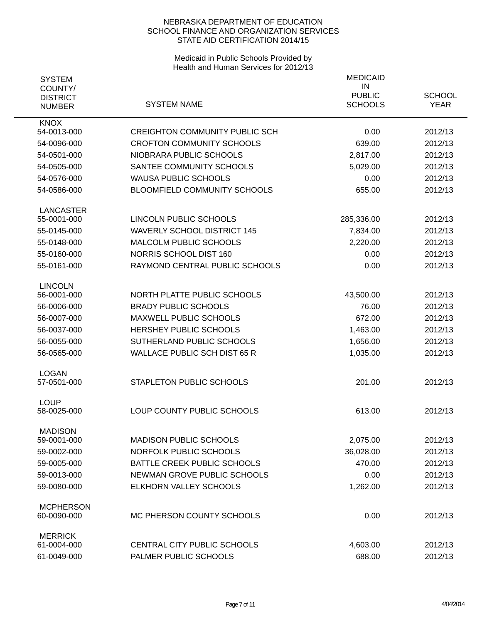| <b>SYSTEM</b>                               |                                       | <b>MEDICAID</b>                       |                              |
|---------------------------------------------|---------------------------------------|---------------------------------------|------------------------------|
| COUNTY/<br><b>DISTRICT</b><br><b>NUMBER</b> | <b>SYSTEM NAME</b>                    | IN<br><b>PUBLIC</b><br><b>SCHOOLS</b> | <b>SCHOOL</b><br><b>YEAR</b> |
| <b>KNOX</b>                                 |                                       |                                       |                              |
| 54-0013-000                                 | <b>CREIGHTON COMMUNITY PUBLIC SCH</b> | 0.00                                  | 2012/13                      |
| 54-0096-000                                 | <b>CROFTON COMMUNITY SCHOOLS</b>      | 639.00                                | 2012/13                      |
| 54-0501-000                                 | NIOBRARA PUBLIC SCHOOLS               | 2,817.00                              | 2012/13                      |
| 54-0505-000                                 | SANTEE COMMUNITY SCHOOLS              | 5,029.00                              | 2012/13                      |
| 54-0576-000                                 | <b>WAUSA PUBLIC SCHOOLS</b>           | 0.00                                  | 2012/13                      |
| 54-0586-000                                 | BLOOMFIELD COMMUNITY SCHOOLS          | 655.00                                | 2012/13                      |
| <b>LANCASTER</b>                            |                                       |                                       |                              |
| 55-0001-000                                 | LINCOLN PUBLIC SCHOOLS                | 285,336.00                            | 2012/13                      |
| 55-0145-000                                 | <b>WAVERLY SCHOOL DISTRICT 145</b>    | 7,834.00                              | 2012/13                      |
| 55-0148-000                                 | <b>MALCOLM PUBLIC SCHOOLS</b>         | 2,220.00                              | 2012/13                      |
| 55-0160-000                                 | NORRIS SCHOOL DIST 160                | 0.00                                  | 2012/13                      |
| 55-0161-000                                 | RAYMOND CENTRAL PUBLIC SCHOOLS        | 0.00                                  | 2012/13                      |
| <b>LINCOLN</b>                              |                                       |                                       |                              |
| 56-0001-000                                 | NORTH PLATTE PUBLIC SCHOOLS           | 43,500.00                             | 2012/13                      |
| 56-0006-000                                 | <b>BRADY PUBLIC SCHOOLS</b>           | 76.00                                 | 2012/13                      |
| 56-0007-000                                 | <b>MAXWELL PUBLIC SCHOOLS</b>         | 672.00                                | 2012/13                      |
| 56-0037-000                                 | <b>HERSHEY PUBLIC SCHOOLS</b>         | 1,463.00                              | 2012/13                      |
| 56-0055-000                                 | SUTHERLAND PUBLIC SCHOOLS             | 1,656.00                              | 2012/13                      |
| 56-0565-000                                 | <b>WALLACE PUBLIC SCH DIST 65 R</b>   | 1,035.00                              | 2012/13                      |
| <b>LOGAN</b>                                |                                       |                                       |                              |
| 57-0501-000                                 | STAPLETON PUBLIC SCHOOLS              | 201.00                                | 2012/13                      |
| <b>LOUP</b><br>58-0025-000                  | LOUP COUNTY PUBLIC SCHOOLS            | 613.00                                | 2012/13                      |
|                                             |                                       |                                       |                              |
| <b>MADISON</b><br>59-0001-000               | <b>MADISON PUBLIC SCHOOLS</b>         | 2,075.00                              | 2012/13                      |
| 59-0002-000                                 | NORFOLK PUBLIC SCHOOLS                | 36,028.00                             | 2012/13                      |
| 59-0005-000                                 | BATTLE CREEK PUBLIC SCHOOLS           | 470.00                                | 2012/13                      |
| 59-0013-000                                 | NEWMAN GROVE PUBLIC SCHOOLS           | 0.00                                  | 2012/13                      |
| 59-0080-000                                 | ELKHORN VALLEY SCHOOLS                | 1,262.00                              | 2012/13                      |
|                                             |                                       |                                       |                              |
| <b>MCPHERSON</b><br>60-0090-000             | MC PHERSON COUNTY SCHOOLS             | 0.00                                  | 2012/13                      |
| <b>MERRICK</b>                              |                                       |                                       |                              |
| 61-0004-000                                 | CENTRAL CITY PUBLIC SCHOOLS           | 4,603.00                              | 2012/13                      |
| 61-0049-000                                 | PALMER PUBLIC SCHOOLS                 | 688.00                                | 2012/13                      |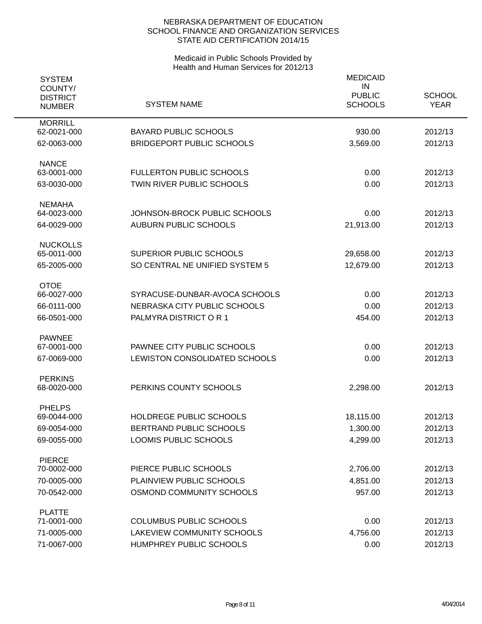| <b>SYSTEM</b>                               |                                  | <b>MEDICAID</b>                       |                              |
|---------------------------------------------|----------------------------------|---------------------------------------|------------------------------|
| COUNTY/<br><b>DISTRICT</b><br><b>NUMBER</b> | <b>SYSTEM NAME</b>               | IN<br><b>PUBLIC</b><br><b>SCHOOLS</b> | <b>SCHOOL</b><br><b>YEAR</b> |
| <b>MORRILL</b><br>62-0021-000               | <b>BAYARD PUBLIC SCHOOLS</b>     | 930.00                                | 2012/13                      |
| 62-0063-000                                 | <b>BRIDGEPORT PUBLIC SCHOOLS</b> | 3,569.00                              | 2012/13                      |
|                                             |                                  |                                       |                              |
| <b>NANCE</b>                                |                                  |                                       |                              |
| 63-0001-000                                 | <b>FULLERTON PUBLIC SCHOOLS</b>  | 0.00                                  | 2012/13                      |
| 63-0030-000                                 | <b>TWIN RIVER PUBLIC SCHOOLS</b> | 0.00                                  | 2012/13                      |
| <b>NEMAHA</b>                               |                                  |                                       |                              |
| 64-0023-000                                 | JOHNSON-BROCK PUBLIC SCHOOLS     | 0.00                                  | 2012/13                      |
| 64-0029-000                                 | <b>AUBURN PUBLIC SCHOOLS</b>     | 21,913.00                             | 2012/13                      |
| <b>NUCKOLLS</b>                             |                                  |                                       |                              |
| 65-0011-000                                 | SUPERIOR PUBLIC SCHOOLS          | 29,658.00                             | 2012/13                      |
| 65-2005-000                                 | SO CENTRAL NE UNIFIED SYSTEM 5   | 12,679.00                             | 2012/13                      |
|                                             |                                  |                                       |                              |
| <b>OTOE</b><br>66-0027-000                  | SYRACUSE-DUNBAR-AVOCA SCHOOLS    | 0.00                                  | 2012/13                      |
| 66-0111-000                                 | NEBRASKA CITY PUBLIC SCHOOLS     | 0.00                                  | 2012/13                      |
| 66-0501-000                                 | PALMYRA DISTRICT OR 1            | 454.00                                | 2012/13                      |
|                                             |                                  |                                       |                              |
| <b>PAWNEE</b>                               |                                  |                                       |                              |
| 67-0001-000                                 | PAWNEE CITY PUBLIC SCHOOLS       | 0.00                                  | 2012/13                      |
| 67-0069-000                                 | LEWISTON CONSOLIDATED SCHOOLS    | 0.00                                  | 2012/13                      |
| <b>PERKINS</b>                              |                                  |                                       |                              |
| 68-0020-000                                 | PERKINS COUNTY SCHOOLS           | 2,298.00                              | 2012/13                      |
| <b>PHELPS</b>                               |                                  |                                       |                              |
| 69-0044-000                                 | HOLDREGE PUBLIC SCHOOLS          | 18,115.00                             | 2012/13                      |
| 69-0054-000                                 | BERTRAND PUBLIC SCHOOLS          | 1,300.00                              | 2012/13                      |
| 69-0055-000                                 | LOOMIS PUBLIC SCHOOLS            | 4,299.00                              | 2012/13                      |
| <b>PIERCE</b>                               |                                  |                                       |                              |
| 70-0002-000                                 | PIERCE PUBLIC SCHOOLS            | 2,706.00                              | 2012/13                      |
| 70-0005-000                                 | PLAINVIEW PUBLIC SCHOOLS         | 4,851.00                              | 2012/13                      |
| 70-0542-000                                 | OSMOND COMMUNITY SCHOOLS         | 957.00                                | 2012/13                      |
|                                             |                                  |                                       |                              |
| <b>PLATTE</b><br>71-0001-000                | <b>COLUMBUS PUBLIC SCHOOLS</b>   | 0.00                                  | 2012/13                      |
| 71-0005-000                                 | LAKEVIEW COMMUNITY SCHOOLS       | 4,756.00                              | 2012/13                      |
| 71-0067-000                                 | HUMPHREY PUBLIC SCHOOLS          | 0.00                                  | 2012/13                      |
|                                             |                                  |                                       |                              |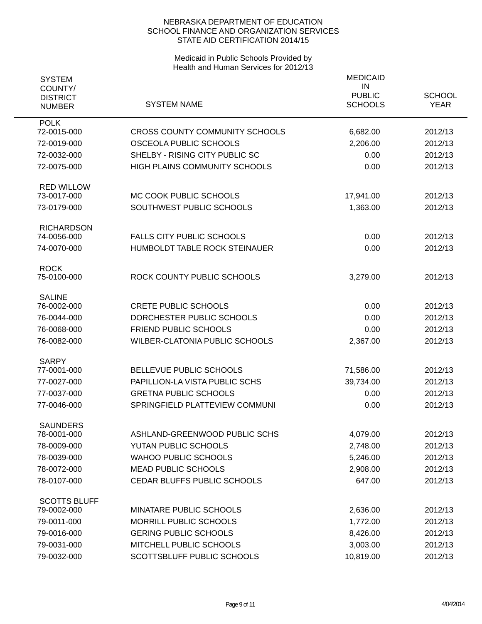| <b>SYSTEM</b><br>COUNTY/<br><b>DISTRICT</b><br><b>NUMBER</b> | <b>SYSTEM NAME</b>                    | <b>MEDICAID</b><br>IN<br><b>PUBLIC</b><br><b>SCHOOLS</b> | <b>SCHOOL</b><br><b>YEAR</b> |
|--------------------------------------------------------------|---------------------------------------|----------------------------------------------------------|------------------------------|
| <b>POLK</b>                                                  |                                       |                                                          |                              |
| 72-0015-000                                                  | <b>CROSS COUNTY COMMUNITY SCHOOLS</b> | 6,682.00                                                 | 2012/13                      |
| 72-0019-000                                                  | OSCEOLA PUBLIC SCHOOLS                | 2,206.00                                                 | 2012/13                      |
| 72-0032-000                                                  | SHELBY - RISING CITY PUBLIC SC        | 0.00                                                     | 2012/13                      |
| 72-0075-000                                                  | HIGH PLAINS COMMUNITY SCHOOLS         | 0.00                                                     | 2012/13                      |
| <b>RED WILLOW</b>                                            |                                       |                                                          |                              |
| 73-0017-000                                                  | MC COOK PUBLIC SCHOOLS                | 17,941.00                                                | 2012/13                      |
| 73-0179-000                                                  | SOUTHWEST PUBLIC SCHOOLS              | 1,363.00                                                 | 2012/13                      |
| <b>RICHARDSON</b><br>74-0056-000                             | <b>FALLS CITY PUBLIC SCHOOLS</b>      | 0.00                                                     | 2012/13                      |
| 74-0070-000                                                  | HUMBOLDT TABLE ROCK STEINAUER         | 0.00                                                     | 2012/13                      |
|                                                              |                                       |                                                          |                              |
| <b>ROCK</b>                                                  |                                       |                                                          |                              |
| 75-0100-000                                                  | ROCK COUNTY PUBLIC SCHOOLS            | 3,279.00                                                 | 2012/13                      |
| <b>SALINE</b>                                                |                                       |                                                          |                              |
| 76-0002-000                                                  | <b>CRETE PUBLIC SCHOOLS</b>           | 0.00                                                     | 2012/13                      |
| 76-0044-000                                                  | DORCHESTER PUBLIC SCHOOLS             | 0.00                                                     | 2012/13                      |
| 76-0068-000                                                  | FRIEND PUBLIC SCHOOLS                 | 0.00                                                     | 2012/13                      |
| 76-0082-000                                                  | WILBER-CLATONIA PUBLIC SCHOOLS        | 2,367.00                                                 | 2012/13                      |
| <b>SARPY</b>                                                 |                                       |                                                          |                              |
| 77-0001-000                                                  | BELLEVUE PUBLIC SCHOOLS               | 71,586.00                                                | 2012/13                      |
| 77-0027-000                                                  | PAPILLION-LA VISTA PUBLIC SCHS        | 39,734.00                                                | 2012/13                      |
| 77-0037-000                                                  | <b>GRETNA PUBLIC SCHOOLS</b>          | 0.00                                                     | 2012/13                      |
| 77-0046-000                                                  | SPRINGFIELD PLATTEVIEW COMMUNI        | 0.00                                                     | 2012/13                      |
| <b>SAUNDERS</b>                                              |                                       |                                                          |                              |
| 78-0001-000                                                  | ASHLAND-GREENWOOD PUBLIC SCHS         | 4,079.00                                                 | 2012/13                      |
| 78-0009-000                                                  | YUTAN PUBLIC SCHOOLS                  | 2,748.00                                                 | 2012/13                      |
| 78-0039-000                                                  | <b>WAHOO PUBLIC SCHOOLS</b>           | 5,246.00                                                 | 2012/13                      |
| 78-0072-000                                                  | <b>MEAD PUBLIC SCHOOLS</b>            | 2,908.00                                                 | 2012/13                      |
| 78-0107-000                                                  | CEDAR BLUFFS PUBLIC SCHOOLS           | 647.00                                                   | 2012/13                      |
| <b>SCOTTS BLUFF</b>                                          |                                       |                                                          |                              |
| 79-0002-000                                                  | MINATARE PUBLIC SCHOOLS               | 2,636.00                                                 | 2012/13                      |
| 79-0011-000                                                  | MORRILL PUBLIC SCHOOLS                | 1,772.00                                                 | 2012/13                      |
| 79-0016-000                                                  | <b>GERING PUBLIC SCHOOLS</b>          | 8,426.00                                                 | 2012/13                      |
| 79-0031-000                                                  | MITCHELL PUBLIC SCHOOLS               | 3,003.00                                                 | 2012/13                      |
| 79-0032-000                                                  | SCOTTSBLUFF PUBLIC SCHOOLS            | 10,819.00                                                | 2012/13                      |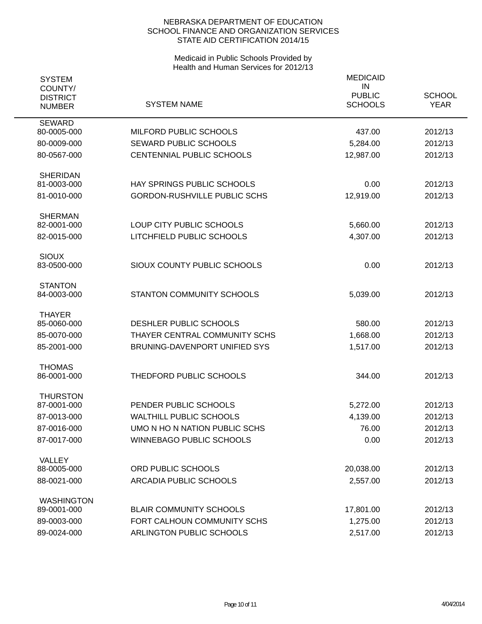| <b>SYSTEM</b><br>COUNTY/<br><b>DISTRICT</b><br><b>NUMBER</b> | <b>SYSTEM NAME</b>                  | <b>MEDICAID</b><br>IN<br><b>PUBLIC</b><br><b>SCHOOLS</b> | <b>SCHOOL</b><br><b>YEAR</b> |
|--------------------------------------------------------------|-------------------------------------|----------------------------------------------------------|------------------------------|
| <b>SEWARD</b>                                                |                                     |                                                          |                              |
| 80-0005-000                                                  | MILFORD PUBLIC SCHOOLS              | 437.00                                                   | 2012/13                      |
| 80-0009-000                                                  | <b>SEWARD PUBLIC SCHOOLS</b>        | 5,284.00                                                 | 2012/13                      |
| 80-0567-000                                                  | CENTENNIAL PUBLIC SCHOOLS           | 12,987.00                                                | 2012/13                      |
| <b>SHERIDAN</b>                                              |                                     |                                                          |                              |
| 81-0003-000                                                  | HAY SPRINGS PUBLIC SCHOOLS          | 0.00                                                     | 2012/13                      |
| 81-0010-000                                                  | <b>GORDON-RUSHVILLE PUBLIC SCHS</b> | 12,919.00                                                | 2012/13                      |
| <b>SHERMAN</b><br>82-0001-000                                | LOUP CITY PUBLIC SCHOOLS            | 5,660.00                                                 | 2012/13                      |
| 82-0015-000                                                  | LITCHFIELD PUBLIC SCHOOLS           | 4,307.00                                                 | 2012/13                      |
|                                                              |                                     |                                                          |                              |
| <b>SIOUX</b>                                                 |                                     |                                                          |                              |
| 83-0500-000                                                  | SIOUX COUNTY PUBLIC SCHOOLS         | 0.00                                                     | 2012/13                      |
| <b>STANTON</b>                                               |                                     |                                                          |                              |
| 84-0003-000                                                  | <b>STANTON COMMUNITY SCHOOLS</b>    | 5,039.00                                                 | 2012/13                      |
| <b>THAYER</b>                                                |                                     |                                                          |                              |
| 85-0060-000                                                  | DESHLER PUBLIC SCHOOLS              | 580.00                                                   | 2012/13                      |
| 85-0070-000                                                  | THAYER CENTRAL COMMUNITY SCHS       | 1,668.00                                                 | 2012/13                      |
| 85-2001-000                                                  | BRUNING-DAVENPORT UNIFIED SYS       | 1,517.00                                                 | 2012/13                      |
| <b>THOMAS</b>                                                | THEDFORD PUBLIC SCHOOLS             |                                                          | 2012/13                      |
| 86-0001-000                                                  |                                     | 344.00                                                   |                              |
| <b>THURSTON</b><br>87-0001-000                               | PENDER PUBLIC SCHOOLS               | 5,272.00                                                 | 2012/13                      |
| 87-0013-000                                                  | <b>WALTHILL PUBLIC SCHOOLS</b>      | 4,139.00                                                 | 2012/13                      |
| 87-0016-000                                                  | UMO N HO N NATION PUBLIC SCHS       | 76.00                                                    | 2012/13                      |
| 87-0017-000                                                  | <b>WINNEBAGO PUBLIC SCHOOLS</b>     | 0.00                                                     | 2012/13                      |
|                                                              |                                     |                                                          |                              |
| VALLEY<br>88-0005-000                                        | ORD PUBLIC SCHOOLS                  | 20,038.00                                                | 2012/13                      |
| 88-0021-000                                                  | ARCADIA PUBLIC SCHOOLS              | 2,557.00                                                 | 2012/13                      |
|                                                              |                                     |                                                          |                              |
| <b>WASHINGTON</b><br>89-0001-000                             | <b>BLAIR COMMUNITY SCHOOLS</b>      | 17,801.00                                                | 2012/13                      |
| 89-0003-000                                                  | FORT CALHOUN COMMUNITY SCHS         | 1,275.00                                                 | 2012/13                      |
| 89-0024-000                                                  | ARLINGTON PUBLIC SCHOOLS            | 2,517.00                                                 | 2012/13                      |